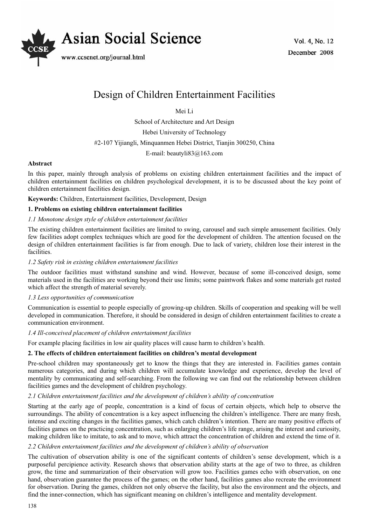

# Design of Children Entertainment Facilities

Mei Li

School of Architecture and Art Design

Hebei University of Technology

#2-107 Yijiangli, Minquanmen Hebei District, Tianjin 300250, China

E-mail: beautyli83@163.com

# **Abstract**

In this paper, mainly through analysis of problems on existing children entertainment facilities and the impact of children entertainment facilities on children psychological development, it is to be discussed about the key point of children entertainment facilities design.

**Keywords:** Children, Entertainment facilities, Development, Design

# **1. Problems on existing children entertainment facilities**

# *1.1 Monotone design style of children entertainment facilities*

The existing children entertainment facilities are limited to swing, carousel and such simple amusement facilities. Only few facilities adopt complex techniques which are good for the development of children. The attention focused on the design of children entertainment facilities is far from enough. Due to lack of variety, children lose their interest in the facilities.

# *1.2 Safety risk in existing children entertainment facilities*

The outdoor facilities must withstand sunshine and wind. However, because of some ill-conceived design, some materials used in the facilities are working beyond their use limits; some paintwork flakes and some materials get rusted which affect the strength of material severely.

# *1.3 Less opportunities of communication*

Communication is essential to people especially of growing-up children. Skills of cooperation and speaking will be well developed in communication. Therefore, it should be considered in design of children entertainment facilities to create a communication environment.

# *1.4 Ill-conceived placement of children entertainment facilities*

For example placing facilities in low air quality places will cause harm to children's health.

# **2. The effects of children entertainment facilities on children's mental development**

Pre-school children may spontaneously get to know the things that they are interested in. Facilities games contain numerous categories, and during which children will accumulate knowledge and experience, develop the level of mentality by communicating and self-searching. From the following we can find out the relationship between children facilities games and the development of children psychology.

# *2.1 Children entertainment facilities and the development of children's ability of concentration*

Starting at the early age of people, concentration is a kind of focus of certain objects, which help to observe the surroundings. The ability of concentration is a key aspect influencing the children's intelligence. There are many fresh, intense and exciting changes in the facilities games, which catch children's intention. There are many positive effects of facilities games on the practicing concentration, such as enlarging children's life range, arising the interest and curiosity, making children like to imitate, to ask and to move, which attract the concentration of children and extend the time of it.

# *2.2 Children entertainment facilities and the development of children's ability of observation*

The cultivation of observation ability is one of the significant contents of children's sense development, which is a purposeful percipience activity. Research shows that observation ability starts at the age of two to three, as children grow, the time and summarization of their observation will grow too. Facilities games echo with observation, on one hand, observation guarantee the process of the games; on the other hand, facilities games also recreate the environment for observation. During the games, children not only observe the facility, but also the environment and the objects, and find the inner-connection, which has significant meaning on children's intelligence and mentality development.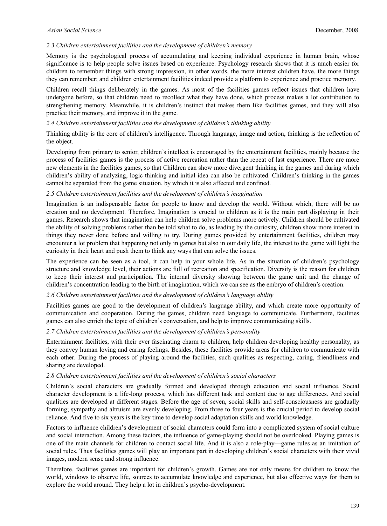### *2.3 Children entertainment facilities and the development of children's memory*

Memory is the psychological process of accumulating and keeping individual experience in human brain, whose significance is to help people solve issues based on experience. Psychology research shows that it is much easier for children to remember things with strong impression, in other words, the more interest children have, the more things they can remember; and children entertainment facilities indeed provide a platform to experience and practice memory.

Children recall things deliberately in the games. As most of the facilities games reflect issues that children have undergone before, so that children need to recollect what they have done, which process makes a lot contribution to strengthening memory. Meanwhile, it is children's instinct that makes them like facilities games, and they will also practice their memory, and improve it in the game.

### *2.4 Children entertainment facilities and the development of children's thinking ability*

Thinking ability is the core of children's intelligence. Through language, image and action, thinking is the reflection of the object.

Developing from primary to senior, children's intellect is encouraged by the entertainment facilities, mainly because the process of facilities games is the process of active recreation rather than the repeat of last experience. There are more new elements in the facilities games, so that Children can show more divergent thinking in the games and during which children's ability of analyzing, logic thinking and initial idea can also be cultivated. Children's thinking in the games cannot be separated from the game situation, by which it is also affected and confined.

## *2.5 Children entertainment facilities and the development of children's imagination*

Imagination is an indispensable factor for people to know and develop the world. Without which, there will be no creation and no development. Therefore, Imagination is crucial to children as it is the main part displaying in their games. Research shows that imagination can help children solve problems more actively. Children should be cultivated the ability of solving problems rather than be told what to do, as leading by the curiosity, children show more interest in things they never done before and willing to try. During games provided by entertainment facilities, children may encounter a lot problem that happening not only in games but also in our daily life, the interest to the game will light the curiosity in their heart and push them to think any ways that can solve the issues.

The experience can be seen as a tool, it can help in your whole life. As in the situation of children's psychology structure and knowledge level, their actions are full of recreation and specification. Diversity is the reason for children to keep their interest and participation. The internal diversity showing between the game unit and the change of children's concentration leading to the birth of imagination, which we can see as the embryo of children's creation.

#### *2.6 Children entertainment facilities and the development of children's language ability*

Facilities games are good to the development of children's language ability, and which create more opportunity of communication and cooperation. During the games, children need language to communicate. Furthermore, facilities games can also enrich the topic of children's conversation, and help to improve communicating skills.

## *2.7 Children entertainment facilities and the development of children's personality*

Entertainment facilities, with their ever fascinating charm to children, help children developing healthy personality, as they convey human loving and caring feelings. Besides, these facilities provide areas for children to communicate with each other. During the process of playing around the facilities, such qualities as respecting, caring, friendliness and sharing are developed.

#### *2.8 Children entertainment facilities and the development of children's social characters*

Children's social characters are gradually formed and developed through education and social influence. Social character development is a life-long process, which has different task and content due to age differences. And social qualities are developed at different stages. Before the age of seven, social skills and self-consciousness are gradually forming; sympathy and altruism are evenly developing. From three to four years is the crucial period to develop social reliance. And five to six years is the key time to develop social adaptation skills and world knowledge.

Factors to influence children's development of social characters could form into a complicated system of social culture and social interaction. Among these factors, the influence of game-playing should not be overlooked. Playing games is one of the main channels for children to contact social life. And it is also a role-play—game rules as an imitation of social rules. Thus facilities games will play an important part in developing children's social characters with their vivid images, modern sense and strong influence.

Therefore, facilities games are important for children's growth. Games are not only means for children to know the world, windows to observe life, sources to accumulate knowledge and experience, but also effective ways for them to explore the world around. They help a lot in children's psycho-development.